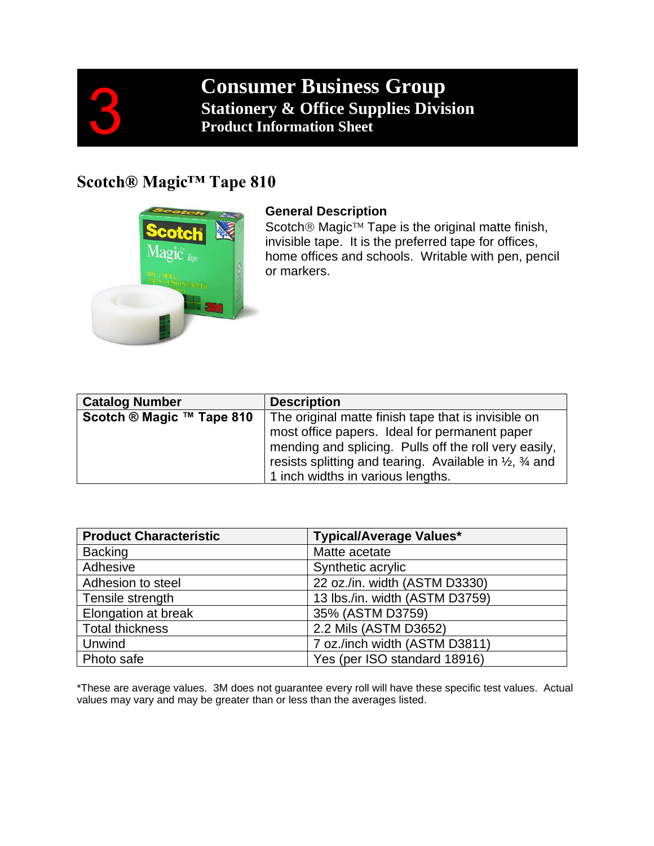

# **Consumer Business Group Stationery & Office Supplies Division Product Information Sheet**

## **Scotch® Magic™ Tape 810**



#### **General Description**

Scotch<sup>®</sup> Magic<sup>™</sup> Tape is the original matte finish, invisible tape. It is the preferred tape for offices, home offices and schools. Writable with pen, pencil or markers.

| <b>Catalog Number</b>     | <b>Description</b>                                                                                   |  |
|---------------------------|------------------------------------------------------------------------------------------------------|--|
| Scotch ® Magic ™ Tape 810 | The original matte finish tape that is invisible on<br>most office papers. Ideal for permanent paper |  |
|                           |                                                                                                      |  |
|                           | mending and splicing. Pulls off the roll very easily,                                                |  |
|                           | resists splitting and tearing. Available in $\frac{1}{2}$ , $\frac{3}{4}$ and                        |  |
|                           | 1 inch widths in various lengths.                                                                    |  |

| <b>Product Characteristic</b> | <b>Typical/Average Values*</b> |  |
|-------------------------------|--------------------------------|--|
| <b>Backing</b>                | Matte acetate                  |  |
| Adhesive                      | Synthetic acrylic              |  |
| Adhesion to steel             | 22 oz./in. width (ASTM D3330)  |  |
| Tensile strength              | 13 lbs./in. width (ASTM D3759) |  |
| Elongation at break           | 35% (ASTM D3759)               |  |
| <b>Total thickness</b>        | 2.2 Mils (ASTM D3652)          |  |
| Unwind                        | 7 oz./inch width (ASTM D3811)  |  |
| Photo safe                    | Yes (per ISO standard 18916)   |  |

\*These are average values. 3M does not guarantee every roll will have these specific test values. Actual values may vary and may be greater than or less than the averages listed.